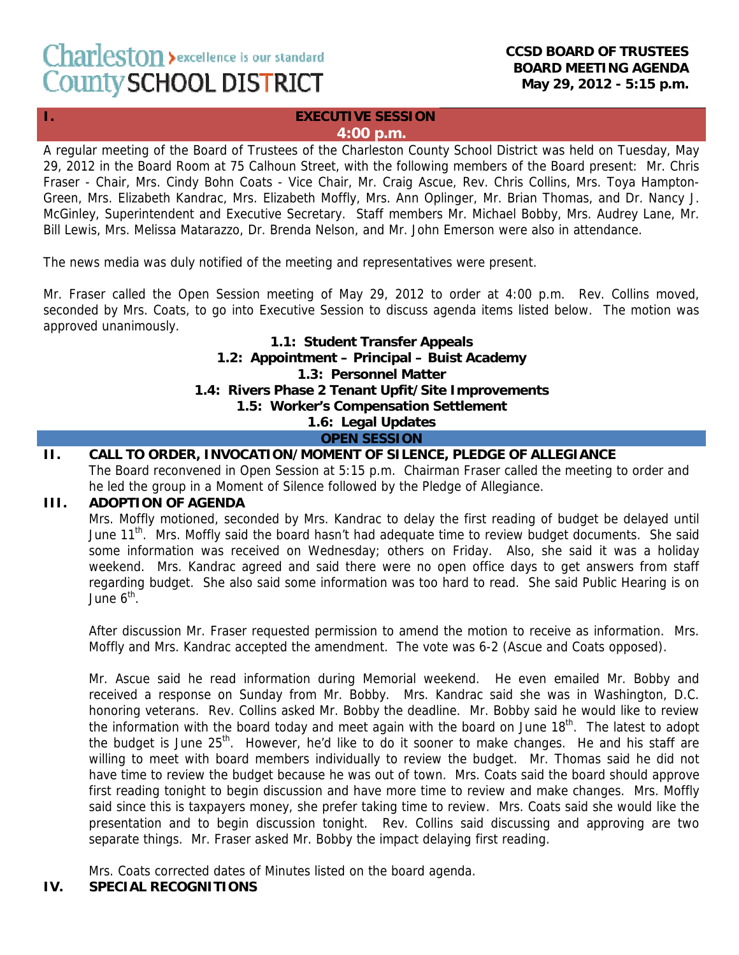#### **CCSD BOARD OF TRUSTEES BOARD MEETING AGENDA May 29, 2012 - 5:15 p.m.**

#### **I. EXECUTIVE SESSION 4:00 p.m.**

A regular meeting of the Board of Trustees of the Charleston County School District was held on Tuesday, May 29, 2012 in the Board Room at 75 Calhoun Street, with the following members of the Board present: Mr. Chris Fraser - Chair, Mrs. Cindy Bohn Coats - Vice Chair, Mr. Craig Ascue, Rev. Chris Collins, Mrs. Toya Hampton-Green, Mrs. Elizabeth Kandrac, Mrs. Elizabeth Moffly, Mrs. Ann Oplinger, Mr. Brian Thomas, and Dr. Nancy J. McGinley, Superintendent and Executive Secretary. Staff members Mr. Michael Bobby, Mrs. Audrey Lane, Mr. Bill Lewis, Mrs. Melissa Matarazzo, Dr. Brenda Nelson, and Mr. John Emerson were also in attendance.

The news media was duly notified of the meeting and representatives were present.

Mr. Fraser called the Open Session meeting of May 29, 2012 to order at 4:00 p.m. Rev. Collins moved, seconded by Mrs. Coats, to go into Executive Session to discuss agenda items listed below. The motion was approved unanimously.

> **1.1: Student Transfer Appeals 1.2: Appointment – Principal – Buist Academy 1.3: Personnel Matter 1.4: Rivers Phase 2 Tenant Upfit/Site Improvements 1.5: Worker's Compensation Settlement 1.6: Legal Updates OPEN SESSION**

# **II. CALL TO ORDER, INVOCATION/MOMENT OF SILENCE, PLEDGE OF ALLEGIANCE**

The Board reconvened in Open Session at 5:15 p.m. Chairman Fraser called the meeting to order and he led the group in a Moment of Silence followed by the Pledge of Allegiance.

# **III. ADOPTION OF AGENDA**

Mrs. Moffly motioned, seconded by Mrs. Kandrac to delay the first reading of budget be delayed until June 11<sup>th</sup>. Mrs. Moffly said the board hasn't had adequate time to review budget documents. She said some information was received on Wednesday; others on Friday. Also, she said it was a holiday weekend. Mrs. Kandrac agreed and said there were no open office days to get answers from staff regarding budget. She also said some information was too hard to read. She said Public Hearing is on June  $6^{th}$ .

After discussion Mr. Fraser requested permission to amend the motion to receive as information. Mrs. Moffly and Mrs. Kandrac accepted the amendment. The vote was 6-2 (Ascue and Coats opposed).

Mr. Ascue said he read information during Memorial weekend. He even emailed Mr. Bobby and received a response on Sunday from Mr. Bobby. Mrs. Kandrac said she was in Washington, D.C. honoring veterans. Rev. Collins asked Mr. Bobby the deadline. Mr. Bobby said he would like to review the information with the board today and meet again with the board on June 18<sup>th</sup>. The latest to adopt the budget is June  $25<sup>th</sup>$ . However, he'd like to do it sooner to make changes. He and his staff are willing to meet with board members individually to review the budget. Mr. Thomas said he did not have time to review the budget because he was out of town. Mrs. Coats said the board should approve first reading tonight to begin discussion and have more time to review and make changes. Mrs. Moffly said since this is taxpayers money, she prefer taking time to review. Mrs. Coats said she would like the presentation and to begin discussion tonight. Rev. Collins said discussing and approving are two separate things. Mr. Fraser asked Mr. Bobby the impact delaying first reading.

Mrs. Coats corrected dates of Minutes listed on the board agenda.

# **IV. SPECIAL RECOGNITIONS**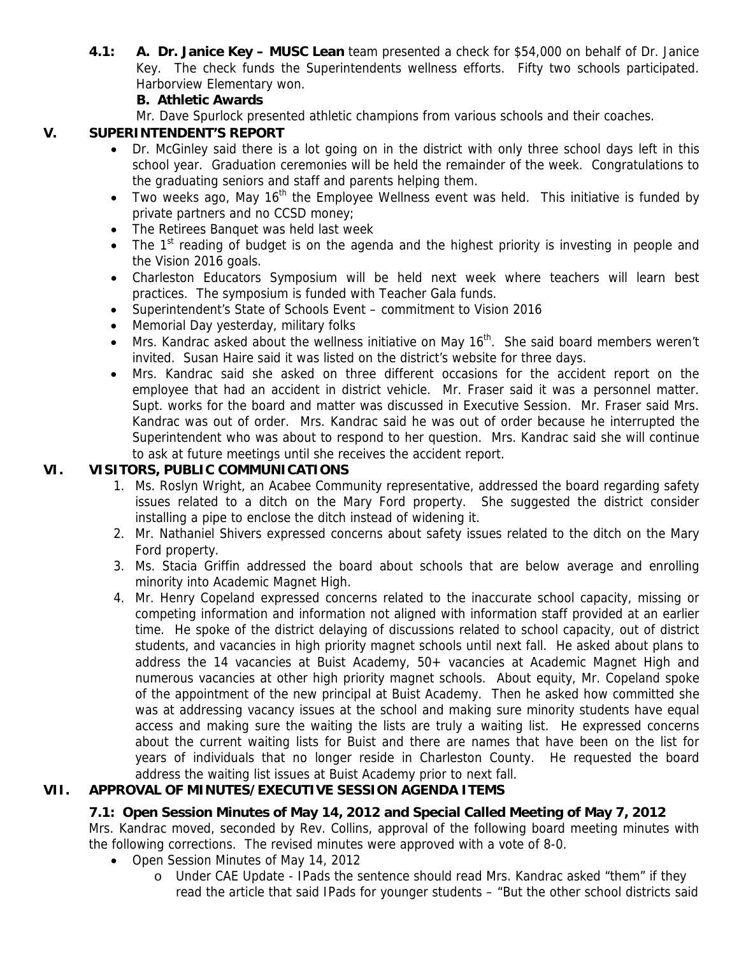**4.1: A. Dr. Janice Key – MUSC Lean** team presented a check for \$54,000 on behalf of Dr. Janice Key. The check funds the Superintendents wellness efforts. Fifty two schools participated. Harborview Elementary won.

# **B. Athletic Awards**

Mr. Dave Spurlock presented athletic champions from various schools and their coaches.

# **V. SUPERINTENDENT'S REPORT**

- Dr. McGinley said there is a lot going on in the district with only three school days left in this school year. Graduation ceremonies will be held the remainder of the week. Congratulations to the graduating seniors and staff and parents helping them.
- Two weeks ago, May 16<sup>th</sup> the Employee Wellness event was held. This initiative is funded by private partners and no CCSD money;
- The Retirees Banquet was held last week
- The 1<sup>st</sup> reading of budget is on the agenda and the highest priority is investing in people and the Vision 2016 goals.
- Charleston Educators Symposium will be held next week where teachers will learn best practices. The symposium is funded with Teacher Gala funds.
- Superintendent's State of Schools Event commitment to Vision 2016
- Memorial Day yesterday, military folks
- Mrs. Kandrac asked about the wellness initiative on May  $16<sup>th</sup>$ . She said board members weren't invited. Susan Haire said it was listed on the district's website for three days.
- Mrs. Kandrac said she asked on three different occasions for the accident report on the employee that had an accident in district vehicle. Mr. Fraser said it was a personnel matter. Supt. works for the board and matter was discussed in Executive Session. Mr. Fraser said Mrs. Kandrac was out of order. Mrs. Kandrac said he was out of order because he interrupted the Superintendent who was about to respond to her question. Mrs. Kandrac said she will continue to ask at future meetings until she receives the accident report.

# **VI. VISITORS, PUBLIC COMMUNICATIONS**

- 1. Ms. Roslyn Wright, an Acabee Community representative, addressed the board regarding safety issues related to a ditch on the Mary Ford property. She suggested the district consider installing a pipe to enclose the ditch instead of widening it.
- 2. Mr. Nathaniel Shivers expressed concerns about safety issues related to the ditch on the Mary Ford property.
- 3. Ms. Stacia Griffin addressed the board about schools that are below average and enrolling minority into Academic Magnet High.
- 4. Mr. Henry Copeland expressed concerns related to the inaccurate school capacity, missing or competing information and information not aligned with information staff provided at an earlier time. He spoke of the district delaying of discussions related to school capacity, out of district students, and vacancies in high priority magnet schools until next fall. He asked about plans to address the 14 vacancies at Buist Academy, 50+ vacancies at Academic Magnet High and numerous vacancies at other high priority magnet schools. About equity, Mr. Copeland spoke of the appointment of the new principal at Buist Academy. Then he asked how committed she was at addressing vacancy issues at the school and making sure minority students have equal access and making sure the waiting the lists are truly a waiting list. He expressed concerns about the current waiting lists for Buist and there are names that have been on the list for years of individuals that no longer reside in Charleston County. He requested the board address the waiting list issues at Buist Academy prior to next fall.

# **VII. APPROVAL OF MINUTES/EXECUTIVE SESSION AGENDA ITEMS**

# **7.1: Open Session Minutes of May 14, 2012 and Special Called Meeting of May 7, 2012**

Mrs. Kandrac moved, seconded by Rev. Collins, approval of the following board meeting minutes with the following corrections. The revised minutes were approved with a vote of 8-0.

- Open Session Minutes of May 14, 2012
	- o Under CAE Update IPads the sentence should read Mrs. Kandrac asked "them" if they read the article that said IPads for younger students – "But the other school districts said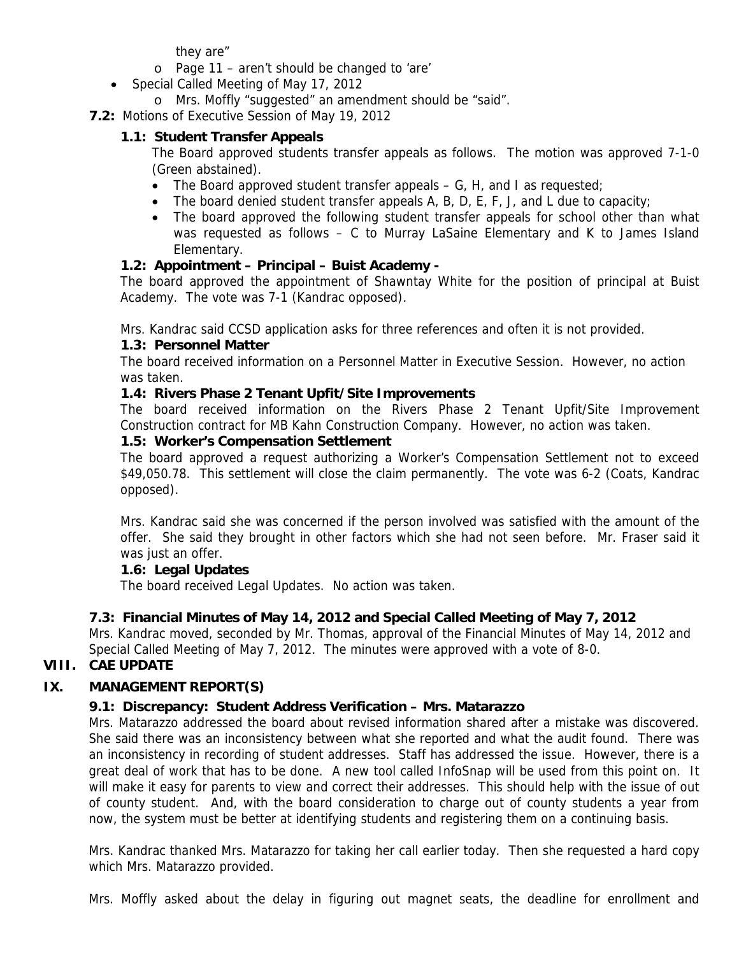they are"

- o Page 11 aren't should be changed to 'are'
- Special Called Meeting of May 17, 2012
	- o Mrs. Moffly "suggested" an amendment should be "said".
- **7.2:** Motions of Executive Session of May 19, 2012

# **1.1: Student Transfer Appeals**

The Board approved students transfer appeals as follows. The motion was approved 7-1-0 (Green abstained).

- The Board approved student transfer appeals  $-$  G, H, and I as requested;
- The board denied student transfer appeals A, B, D, E, F, J, and L due to capacity;
- The board approved the following student transfer appeals for school other than what was requested as follows – C to Murray LaSaine Elementary and K to James Island Elementary.

# **1.2: Appointment – Principal – Buist Academy -**

The board approved the appointment of Shawntay White for the position of principal at Buist Academy. The vote was 7-1 (Kandrac opposed).

Mrs. Kandrac said CCSD application asks for three references and often it is not provided.

### **1.3: Personnel Matter**

The board received information on a Personnel Matter in Executive Session. However, no action was taken.

# **1.4: Rivers Phase 2 Tenant Upfit/Site Improvements**

The board received information on the Rivers Phase 2 Tenant Upfit/Site Improvement Construction contract for MB Kahn Construction Company. However, no action was taken.

#### **1.5: Worker's Compensation Settlement**

The board approved a request authorizing a Worker's Compensation Settlement not to exceed \$49,050.78. This settlement will close the claim permanently. The vote was 6-2 (Coats, Kandrac opposed).

Mrs. Kandrac said she was concerned if the person involved was satisfied with the amount of the offer. She said they brought in other factors which she had not seen before. Mr. Fraser said it was just an offer.

# **1.6: Legal Updates**

The board received Legal Updates. No action was taken.

# **7.3: Financial Minutes of May 14, 2012 and Special Called Meeting of May 7, 2012**

Mrs. Kandrac moved, seconded by Mr. Thomas, approval of the Financial Minutes of May 14, 2012 and Special Called Meeting of May 7, 2012. The minutes were approved with a vote of 8-0.

# **VIII. CAE UPDATE**

# **IX. MANAGEMENT REPORT(S)**

# **9.1: Discrepancy: Student Address Verification – Mrs. Matarazzo**

Mrs. Matarazzo addressed the board about revised information shared after a mistake was discovered. She said there was an inconsistency between what she reported and what the audit found. There was an inconsistency in recording of student addresses. Staff has addressed the issue. However, there is a great deal of work that has to be done. A new tool called InfoSnap will be used from this point on. It will make it easy for parents to view and correct their addresses. This should help with the issue of out of county student. And, with the board consideration to charge out of county students a year from now, the system must be better at identifying students and registering them on a continuing basis.

Mrs. Kandrac thanked Mrs. Matarazzo for taking her call earlier today. Then she requested a hard copy which Mrs. Matarazzo provided.

Mrs. Moffly asked about the delay in figuring out magnet seats, the deadline for enrollment and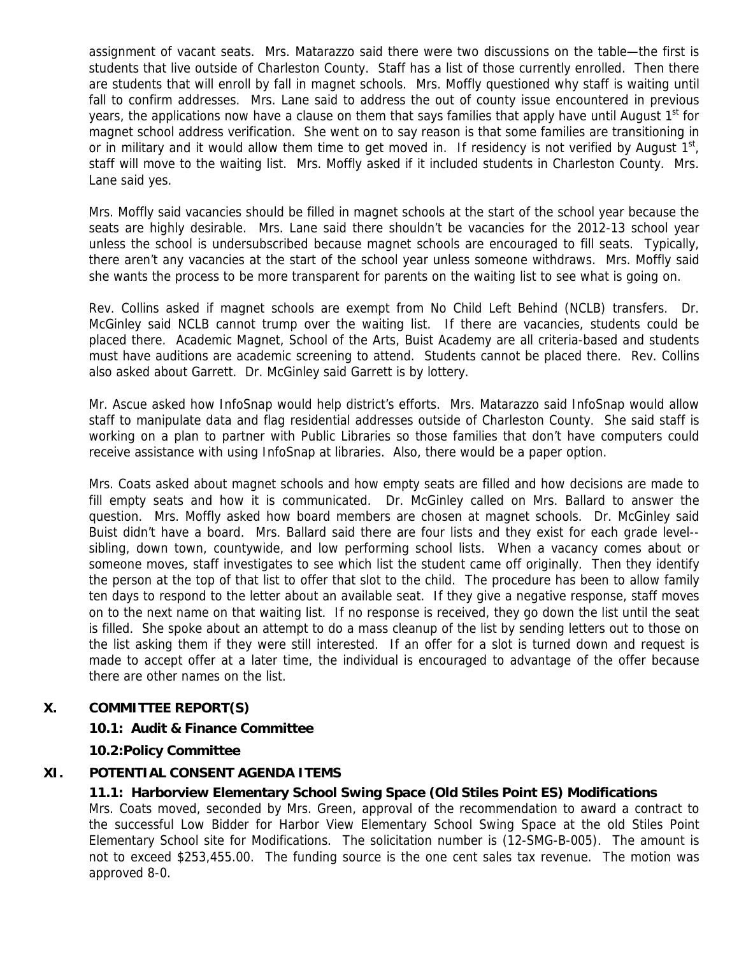assignment of vacant seats. Mrs. Matarazzo said there were two discussions on the table—the first is students that live outside of Charleston County. Staff has a list of those currently enrolled. Then there are students that will enroll by fall in magnet schools. Mrs. Moffly questioned why staff is waiting until fall to confirm addresses. Mrs. Lane said to address the out of county issue encountered in previous years, the applications now have a clause on them that says families that apply have until August  $1<sup>st</sup>$  for magnet school address verification. She went on to say reason is that some families are transitioning in or in military and it would allow them time to get moved in. If residency is not verified by August  $1<sup>st</sup>$ , staff will move to the waiting list. Mrs. Moffly asked if it included students in Charleston County. Mrs. Lane said yes.

Mrs. Moffly said vacancies should be filled in magnet schools at the start of the school year because the seats are highly desirable. Mrs. Lane said there shouldn't be vacancies for the 2012-13 school year unless the school is undersubscribed because magnet schools are encouraged to fill seats. Typically, there aren't any vacancies at the start of the school year unless someone withdraws. Mrs. Moffly said she wants the process to be more transparent for parents on the waiting list to see what is going on.

Rev. Collins asked if magnet schools are exempt from No Child Left Behind (NCLB) transfers. Dr. McGinley said NCLB cannot trump over the waiting list. If there are vacancies, students could be placed there. Academic Magnet, School of the Arts, Buist Academy are all criteria-based and students must have auditions are academic screening to attend. Students cannot be placed there. Rev. Collins also asked about Garrett. Dr. McGinley said Garrett is by lottery.

Mr. Ascue asked how InfoSnap would help district's efforts. Mrs. Matarazzo said InfoSnap would allow staff to manipulate data and flag residential addresses outside of Charleston County. She said staff is working on a plan to partner with Public Libraries so those families that don't have computers could receive assistance with using InfoSnap at libraries. Also, there would be a paper option.

Mrs. Coats asked about magnet schools and how empty seats are filled and how decisions are made to fill empty seats and how it is communicated. Dr. McGinley called on Mrs. Ballard to answer the question. Mrs. Moffly asked how board members are chosen at magnet schools. Dr. McGinley said Buist didn't have a board. Mrs. Ballard said there are four lists and they exist for each grade level- sibling, down town, countywide, and low performing school lists. When a vacancy comes about or someone moves, staff investigates to see which list the student came off originally. Then they identify the person at the top of that list to offer that slot to the child. The procedure has been to allow family ten days to respond to the letter about an available seat. If they give a negative response, staff moves on to the next name on that waiting list. If no response is received, they go down the list until the seat is filled. She spoke about an attempt to do a mass cleanup of the list by sending letters out to those on the list asking them if they were still interested. If an offer for a slot is turned down and request is made to accept offer at a later time, the individual is encouraged to advantage of the offer because there are other names on the list.

#### **X. COMMITTEE REPORT(S)**

#### **10.1: Audit & Finance Committee**

**10.2:Policy Committee** 

#### **XI. POTENTIAL CONSENT AGENDA ITEMS**

#### **11.1: Harborview Elementary School Swing Space (Old Stiles Point ES) Modifications**

Mrs. Coats moved, seconded by Mrs. Green, approval of the recommendation to award a contract to the successful Low Bidder for Harbor View Elementary School Swing Space at the old Stiles Point Elementary School site for Modifications. The solicitation number is (12-SMG-B-005). The amount is not to exceed \$253,455.00. The funding source is the one cent sales tax revenue. The motion was approved 8-0.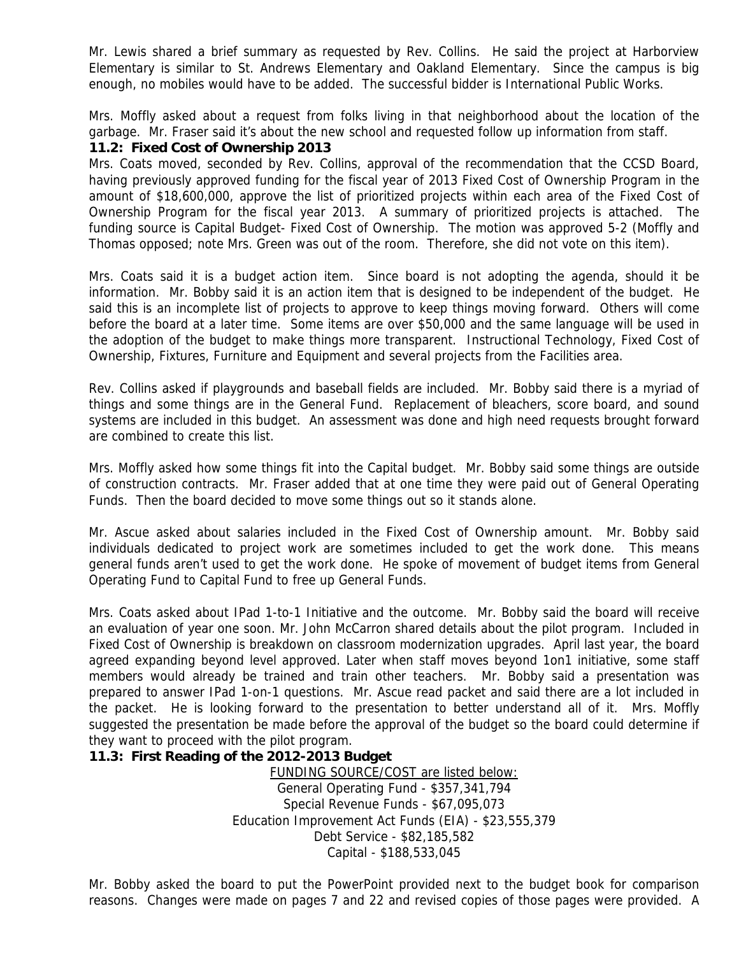Mr. Lewis shared a brief summary as requested by Rev. Collins. He said the project at Harborview Elementary is similar to St. Andrews Elementary and Oakland Elementary. Since the campus is big enough, no mobiles would have to be added. The successful bidder is International Public Works.

Mrs. Moffly asked about a request from folks living in that neighborhood about the location of the garbage. Mr. Fraser said it's about the new school and requested follow up information from staff.

#### **11.2: Fixed Cost of Ownership 2013**

Mrs. Coats moved, seconded by Rev. Collins, approval of the recommendation that the CCSD Board, having previously approved funding for the fiscal year of 2013 Fixed Cost of Ownership Program in the amount of \$18,600,000, approve the list of prioritized projects within each area of the Fixed Cost of Ownership Program for the fiscal year 2013. A summary of prioritized projects is attached. The funding source is Capital Budget- Fixed Cost of Ownership. The motion was approved 5-2 (Moffly and Thomas opposed; note Mrs. Green was out of the room. Therefore, she did not vote on this item).

Mrs. Coats said it is a budget action item. Since board is not adopting the agenda, should it be information. Mr. Bobby said it is an action item that is designed to be independent of the budget. He said this is an incomplete list of projects to approve to keep things moving forward. Others will come before the board at a later time. Some items are over \$50,000 and the same language will be used in the adoption of the budget to make things more transparent. Instructional Technology, Fixed Cost of Ownership, Fixtures, Furniture and Equipment and several projects from the Facilities area.

Rev. Collins asked if playgrounds and baseball fields are included. Mr. Bobby said there is a myriad of things and some things are in the General Fund. Replacement of bleachers, score board, and sound systems are included in this budget. An assessment was done and high need requests brought forward are combined to create this list.

Mrs. Moffly asked how some things fit into the Capital budget. Mr. Bobby said some things are outside of construction contracts. Mr. Fraser added that at one time they were paid out of General Operating Funds. Then the board decided to move some things out so it stands alone.

Mr. Ascue asked about salaries included in the Fixed Cost of Ownership amount. Mr. Bobby said individuals dedicated to project work are sometimes included to get the work done. This means general funds aren't used to get the work done. He spoke of movement of budget items from General Operating Fund to Capital Fund to free up General Funds.

Mrs. Coats asked about IPad 1-to-1 Initiative and the outcome. Mr. Bobby said the board will receive an evaluation of year one soon. Mr. John McCarron shared details about the pilot program. Included in Fixed Cost of Ownership is breakdown on classroom modernization upgrades. April last year, the board agreed expanding beyond level approved. Later when staff moves beyond 1on1 initiative, some staff members would already be trained and train other teachers. Mr. Bobby said a presentation was prepared to answer IPad 1-on-1 questions. Mr. Ascue read packet and said there are a lot included in the packet. He is looking forward to the presentation to better understand all of it. Mrs. Moffly suggested the presentation be made before the approval of the budget so the board could determine if they want to proceed with the pilot program.

#### **11.3: First Reading of the 2012-2013 Budget**

FUNDING SOURCE/COST are listed below: General Operating Fund - \$357,341,794 Special Revenue Funds - \$67,095,073 Education Improvement Act Funds (EIA) - \$23,555,379 Debt Service - \$82,185,582 Capital - \$188,533,045

Mr. Bobby asked the board to put the PowerPoint provided next to the budget book for comparison reasons. Changes were made on pages 7 and 22 and revised copies of those pages were provided. A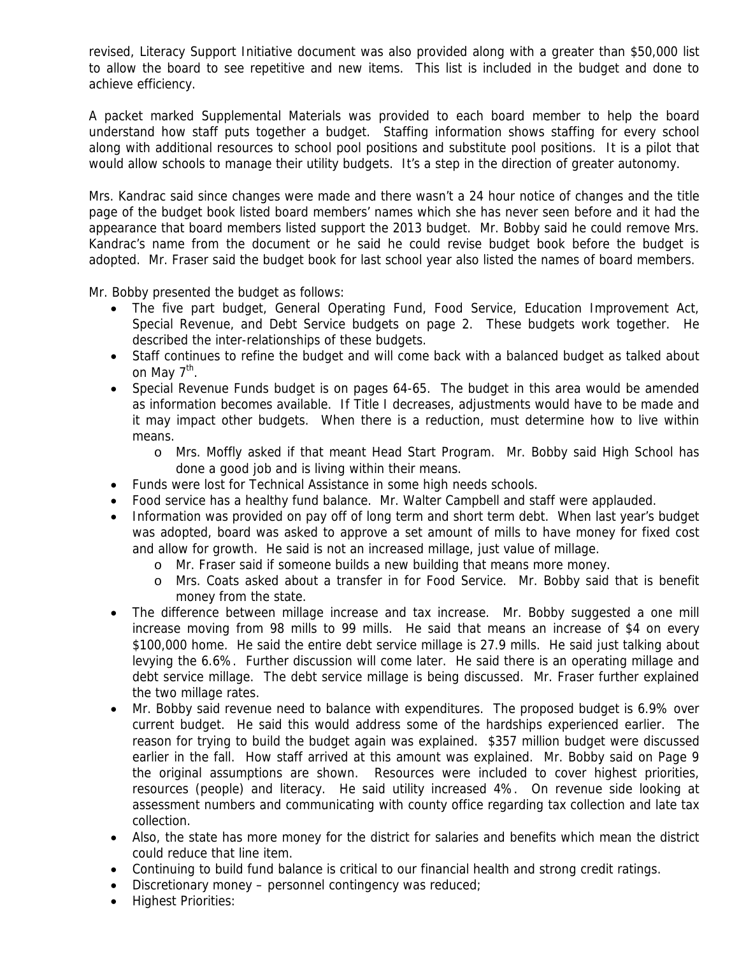revised, Literacy Support Initiative document was also provided along with a greater than \$50,000 list to allow the board to see repetitive and new items. This list is included in the budget and done to achieve efficiency.

A packet marked Supplemental Materials was provided to each board member to help the board understand how staff puts together a budget. Staffing information shows staffing for every school along with additional resources to school pool positions and substitute pool positions. It is a pilot that would allow schools to manage their utility budgets. It's a step in the direction of greater autonomy.

Mrs. Kandrac said since changes were made and there wasn't a 24 hour notice of changes and the title page of the budget book listed board members' names which she has never seen before and it had the appearance that board members listed support the 2013 budget. Mr. Bobby said he could remove Mrs. Kandrac's name from the document or he said he could revise budget book before the budget is adopted. Mr. Fraser said the budget book for last school year also listed the names of board members.

Mr. Bobby presented the budget as follows:

- The five part budget, General Operating Fund, Food Service, Education Improvement Act, Special Revenue, and Debt Service budgets on page 2. These budgets work together. He described the inter-relationships of these budgets.
- Staff continues to refine the budget and will come back with a balanced budget as talked about on May  $7^{\text{th}}$ .
- Special Revenue Funds budget is on pages 64-65. The budget in this area would be amended as information becomes available. If Title I decreases, adjustments would have to be made and it may impact other budgets. When there is a reduction, must determine how to live within means.
	- o Mrs. Moffly asked if that meant Head Start Program. Mr. Bobby said High School has done a good job and is living within their means.
- Funds were lost for Technical Assistance in some high needs schools.
- Food service has a healthy fund balance. Mr. Walter Campbell and staff were applauded.
- Information was provided on pay off of long term and short term debt. When last year's budget was adopted, board was asked to approve a set amount of mills to have money for fixed cost and allow for growth. He said is not an increased millage, just value of millage.
	- o Mr. Fraser said if someone builds a new building that means more money.
	- o Mrs. Coats asked about a transfer in for Food Service. Mr. Bobby said that is benefit money from the state.
- The difference between millage increase and tax increase. Mr. Bobby suggested a one mill increase moving from 98 mills to 99 mills. He said that means an increase of \$4 on every \$100,000 home. He said the entire debt service millage is 27.9 mills. He said just talking about levying the 6.6%. Further discussion will come later. He said there is an operating millage and debt service millage. The debt service millage is being discussed. Mr. Fraser further explained the two millage rates.
- Mr. Bobby said revenue need to balance with expenditures. The proposed budget is 6.9% over current budget. He said this would address some of the hardships experienced earlier. The reason for trying to build the budget again was explained. \$357 million budget were discussed earlier in the fall. How staff arrived at this amount was explained. Mr. Bobby said on Page 9 the original assumptions are shown. Resources were included to cover highest priorities, resources (people) and literacy. He said utility increased 4%. On revenue side looking at assessment numbers and communicating with county office regarding tax collection and late tax collection.
- Also, the state has more money for the district for salaries and benefits which mean the district could reduce that line item.
- Continuing to build fund balance is critical to our financial health and strong credit ratings.
- Discretionary money personnel contingency was reduced;
- Highest Priorities: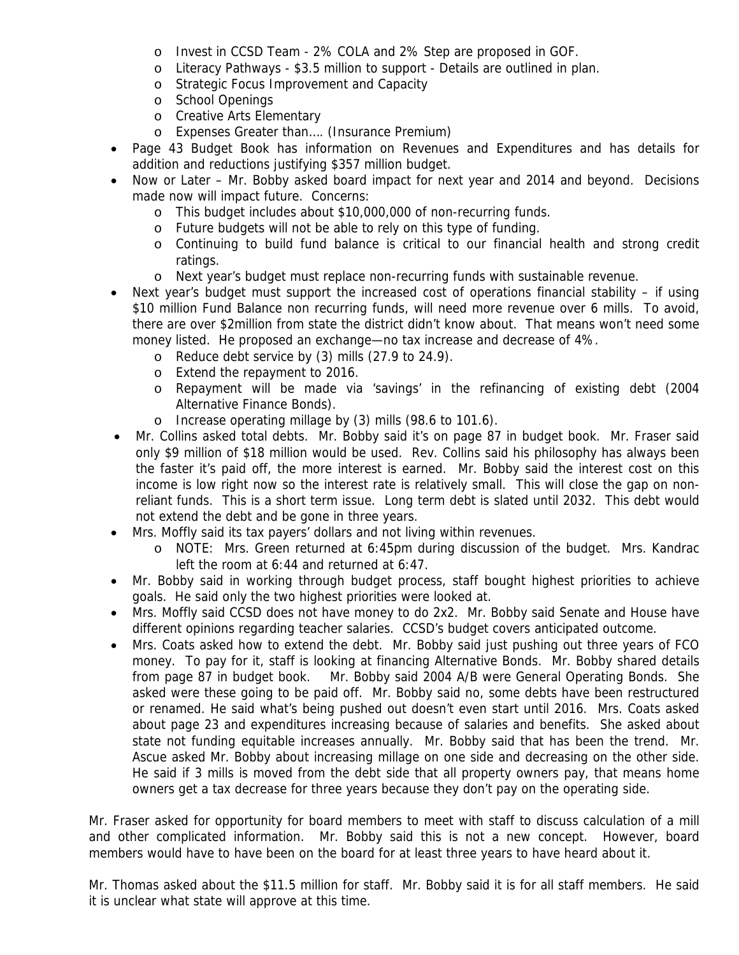- o Invest in CCSD Team 2% COLA and 2% Step are proposed in GOF.
- o Literacy Pathways \$3.5 million to support Details are outlined in plan.
- o Strategic Focus Improvement and Capacity
- o School Openings
- o Creative Arts Elementary
- o Expenses Greater than…. (Insurance Premium)
- Page 43 Budget Book has information on Revenues and Expenditures and has details for addition and reductions justifying \$357 million budget.
- Now or Later Mr. Bobby asked board impact for next year and 2014 and beyond. Decisions made now will impact future. Concerns:
	- o This budget includes about \$10,000,000 of non-recurring funds.
	- o Future budgets will not be able to rely on this type of funding.
	- o Continuing to build fund balance is critical to our financial health and strong credit ratings.
	- o Next year's budget must replace non-recurring funds with sustainable revenue.
- Next year's budget must support the increased cost of operations financial stability if using \$10 million Fund Balance non recurring funds, will need more revenue over 6 mills. To avoid, there are over \$2million from state the district didn't know about. That means won't need some money listed. He proposed an exchange—no tax increase and decrease of 4%.
	- o Reduce debt service by (3) mills (27.9 to 24.9).
	- o Extend the repayment to 2016.
	- o Repayment will be made via 'savings' in the refinancing of existing debt (2004 Alternative Finance Bonds).
	- o Increase operating millage by (3) mills (98.6 to 101.6).
- Mr. Collins asked total debts. Mr. Bobby said it's on page 87 in budget book. Mr. Fraser said only \$9 million of \$18 million would be used. Rev. Collins said his philosophy has always been the faster it's paid off, the more interest is earned. Mr. Bobby said the interest cost on this income is low right now so the interest rate is relatively small. This will close the gap on nonreliant funds. This is a short term issue. Long term debt is slated until 2032. This debt would not extend the debt and be gone in three years.
- Mrs. Moffly said its tax payers' dollars and not living within revenues.
	- o NOTE: Mrs. Green returned at 6:45pm during discussion of the budget. Mrs. Kandrac left the room at 6:44 and returned at 6:47.
- Mr. Bobby said in working through budget process, staff bought highest priorities to achieve goals. He said only the two highest priorities were looked at.
- Mrs. Moffly said CCSD does not have money to do 2x2. Mr. Bobby said Senate and House have different opinions regarding teacher salaries. CCSD's budget covers anticipated outcome.
- Mrs. Coats asked how to extend the debt. Mr. Bobby said just pushing out three years of FCO money. To pay for it, staff is looking at financing Alternative Bonds. Mr. Bobby shared details from page 87 in budget book. Mr. Bobby said 2004 A/B were General Operating Bonds. She asked were these going to be paid off. Mr. Bobby said no, some debts have been restructured or renamed. He said what's being pushed out doesn't even start until 2016. Mrs. Coats asked about page 23 and expenditures increasing because of salaries and benefits. She asked about state not funding equitable increases annually. Mr. Bobby said that has been the trend. Mr. Ascue asked Mr. Bobby about increasing millage on one side and decreasing on the other side. He said if 3 mills is moved from the debt side that all property owners pay, that means home owners get a tax decrease for three years because they don't pay on the operating side.

Mr. Fraser asked for opportunity for board members to meet with staff to discuss calculation of a mill and other complicated information. Mr. Bobby said this is not a new concept. However, board members would have to have been on the board for at least three years to have heard about it.

Mr. Thomas asked about the \$11.5 million for staff. Mr. Bobby said it is for all staff members. He said it is unclear what state will approve at this time.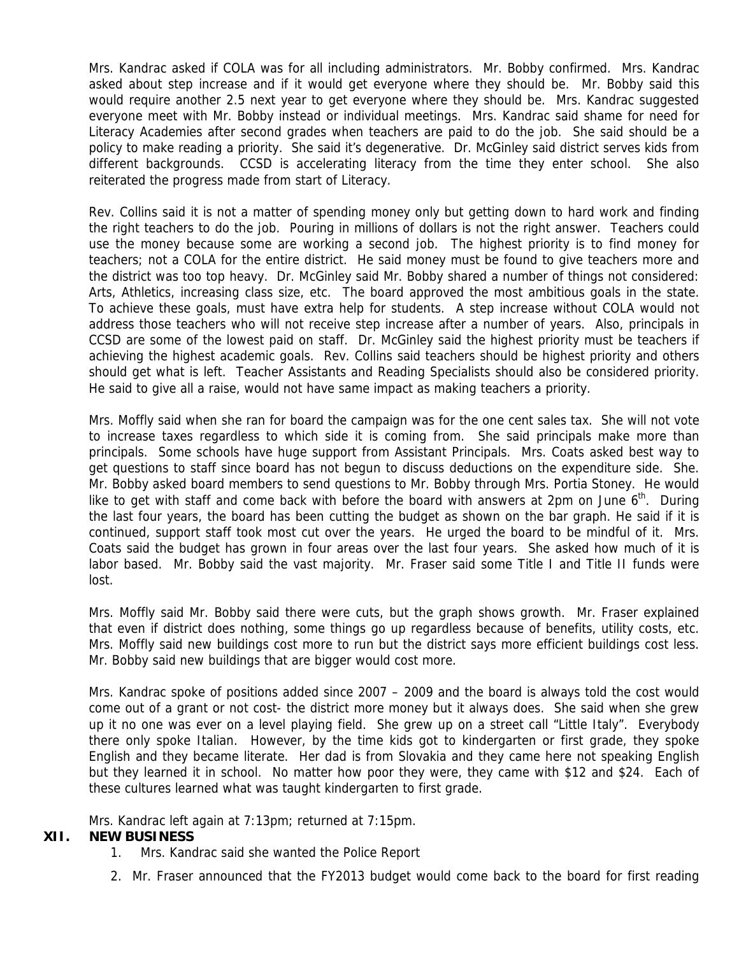Mrs. Kandrac asked if COLA was for all including administrators. Mr. Bobby confirmed. Mrs. Kandrac asked about step increase and if it would get everyone where they should be. Mr. Bobby said this would require another 2.5 next year to get everyone where they should be. Mrs. Kandrac suggested everyone meet with Mr. Bobby instead or individual meetings. Mrs. Kandrac said shame for need for Literacy Academies after second grades when teachers are paid to do the job. She said should be a policy to make reading a priority. She said it's degenerative. Dr. McGinley said district serves kids from different backgrounds. CCSD is accelerating literacy from the time they enter school. She also reiterated the progress made from start of Literacy.

Rev. Collins said it is not a matter of spending money only but getting down to hard work and finding the right teachers to do the job. Pouring in millions of dollars is not the right answer. Teachers could use the money because some are working a second job. The highest priority is to find money for teachers; not a COLA for the entire district. He said money must be found to give teachers more and the district was too top heavy. Dr. McGinley said Mr. Bobby shared a number of things not considered: Arts, Athletics, increasing class size, etc. The board approved the most ambitious goals in the state. To achieve these goals, must have extra help for students. A step increase without COLA would not address those teachers who will not receive step increase after a number of years. Also, principals in CCSD are some of the lowest paid on staff. Dr. McGinley said the highest priority must be teachers if achieving the highest academic goals. Rev. Collins said teachers should be highest priority and others should get what is left. Teacher Assistants and Reading Specialists should also be considered priority. He said to give all a raise, would not have same impact as making teachers a priority.

Mrs. Moffly said when she ran for board the campaign was for the one cent sales tax. She will not vote to increase taxes regardless to which side it is coming from. She said principals make more than principals. Some schools have huge support from Assistant Principals. Mrs. Coats asked best way to get questions to staff since board has not begun to discuss deductions on the expenditure side. She. Mr. Bobby asked board members to send questions to Mr. Bobby through Mrs. Portia Stoney. He would like to get with staff and come back with before the board with answers at 2pm on June  $6<sup>th</sup>$ . During the last four years, the board has been cutting the budget as shown on the bar graph. He said if it is continued, support staff took most cut over the years. He urged the board to be mindful of it. Mrs. Coats said the budget has grown in four areas over the last four years. She asked how much of it is labor based. Mr. Bobby said the vast majority. Mr. Fraser said some Title I and Title II funds were lost.

Mrs. Moffly said Mr. Bobby said there were cuts, but the graph shows growth. Mr. Fraser explained that even if district does nothing, some things go up regardless because of benefits, utility costs, etc. Mrs. Moffly said new buildings cost more to run but the district says more efficient buildings cost less. Mr. Bobby said new buildings that are bigger would cost more.

Mrs. Kandrac spoke of positions added since 2007 – 2009 and the board is always told the cost would come out of a grant or not cost- the district more money but it always does. She said when she grew up it no one was ever on a level playing field. She grew up on a street call "Little Italy". Everybody there only spoke Italian. However, by the time kids got to kindergarten or first grade, they spoke English and they became literate. Her dad is from Slovakia and they came here not speaking English but they learned it in school. No matter how poor they were, they came with \$12 and \$24. Each of these cultures learned what was taught kindergarten to first grade.

Mrs. Kandrac left again at 7:13pm; returned at 7:15pm.

#### **XII. NEW BUSINESS**

- 1. Mrs. Kandrac said she wanted the Police Report
- 2. Mr. Fraser announced that the FY2013 budget would come back to the board for first reading